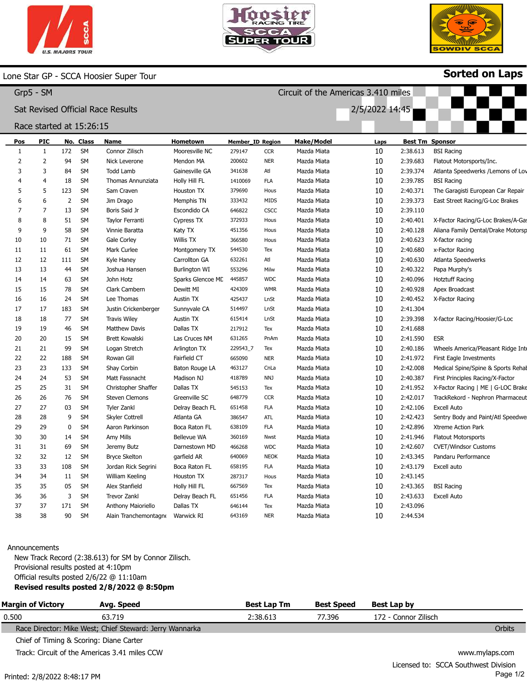



Circuit of the Americas 3.410 miles

2/5/2022 14:45



Sorted on Laps

#### Lone Star GP - SCCA Hoosier Super Tour

| Grp5 | SM |
|------|----|
|------|----|

### Sat Revised Official Race Results

#### Race started at 15:26:15

| Pos | <b>PIC</b>     |     | No. Class | Name                      | Hometown             | Member_ID Region |             | <b>Make/Model</b> | Laps |          | <b>Best Tm Sponsor</b>             |
|-----|----------------|-----|-----------|---------------------------|----------------------|------------------|-------------|-------------------|------|----------|------------------------------------|
| 1   | 1              | 172 | SM        | Connor Zilisch            | Mooresville NC       | 279147           | <b>CCR</b>  | Mazda Miata       | 10   | 2:38.613 | <b>BSI Racing</b>                  |
| 2   | 2              | 94  | <b>SM</b> | Nick Leverone             | Mendon MA            | 200602           | <b>NER</b>  | Mazda Miata       | 10   | 2:39.683 | Flatout Motorsports/Inc.           |
| 3   | 3              | 84  | <b>SM</b> | <b>Todd Lamb</b>          | Gainesville GA       | 341638           | Atl         | Mazda Miata       | 10   | 2:39.374 | Atlanta Speedwerks / Lemons of Lov |
|     | $\overline{4}$ | 18  | <b>SM</b> | Thomas Annunziata         | Holly Hill FL        | 1410069          | <b>FLA</b>  | Mazda Miata       | 10   | 2:39.785 | <b>BSI Racing</b>                  |
| 5   | 5              | 123 | <b>SM</b> | Sam Craven                | Houston TX           | 379690           | Hous        | Mazda Miata       | 10   | 2:40.371 | The Garagisti European Car Repair  |
| 6   | 6              | 2   | <b>SM</b> | Jim Drago                 | Memphis TN           | 333432           | MIDS        | Mazda Miata       | 10   | 2:39.373 | East Street Racing/G-Loc Brakes    |
| 7   | 7              | 13  | <b>SM</b> | Boris Said Jr             | Escondido CA         | 646822           | CSCC        | Mazda Miata       | 10   | 2:39.110 |                                    |
| 8   | 8              | 51  | <b>SM</b> | Taylor Ferranti           | Cypress TX           | 372933           | Hous        | Mazda Miata       | 10   | 2:40.401 | X-Factor Racing/G-Loc Brakes/A-Gas |
| 9   | 9              | 58  | <b>SM</b> | Vinnie Baratta            | Katy TX              | 451356           | Hous        | Mazda Miata       | 10   | 2:40.128 | Aliana Family Dental/Drake Motorsp |
| 10  | 10             | 71  | <b>SM</b> | Gale Corley               | <b>Willis TX</b>     | 366580           | Hous        | Mazda Miata       | 10   | 2:40.623 | X-factor racing                    |
| 11  | 11             | 61  | <b>SM</b> | Mark Curlee               | Montgomery TX        | 544530           | Tex         | Mazda Miata       | 10   | 2:40.680 | x-Factor Racing                    |
| 12  | 12             | 111 | <b>SM</b> | Kyle Haney                | Carrollton GA        | 632261           | Atl         | Mazda Miata       | 10   | 2:40.630 | Atlanta Speedwerks                 |
| 13  | 13             | 44  | <b>SM</b> | Joshua Hansen             | <b>Burlington WI</b> | 553296           | Milw        | Mazda Miata       | 10   | 2:40.322 | Papa Murphy's                      |
| 14  | 14             | 63  | <b>SM</b> | John Hotz                 | Sparks Glencoe MD    | 445857           | <b>WDC</b>  | Mazda Miata       | 10   | 2:40.096 | <b>Hotztuff Racing</b>             |
| 15  | 15             | 78  | <b>SM</b> | Clark Cambern             | Dewitt MI            | 424309           | <b>WMR</b>  | Mazda Miata       | 10   | 2:40.928 | Apex Broadcast                     |
| 16  | 16             | 24  | <b>SM</b> | Lee Thomas                | Austin TX            | 425437           | LnSt        | Mazda Miata       | 10   | 2:40.452 | X-Factor Racing                    |
| 17  | 17             | 183 | SM        | Justin Crickenberger      | Sunnyvale CA         | 514497           | LnSt        | Mazda Miata       | 10   | 2:41.304 |                                    |
| 18  | 18             | 77  | <b>SM</b> | <b>Travis Wiley</b>       | Austin TX            | 615414           | LnSt        | Mazda Miata       | 10   | 2:39.398 | X-factor Racing/Hoosier/G-Loc      |
| 19  | 19             | 46  | <b>SM</b> | <b>Matthew Davis</b>      | Dallas TX            | 217912           | Tex         | Mazda Miata       | 10   | 2:41.688 |                                    |
| 20  | 20             | 15  | <b>SM</b> | Brett Kowalski            | Las Cruces NM        | 631265           | PnAm        | Mazda Miata       | 10   | 2:41.590 | <b>ESR</b>                         |
| 21  | 21             | 99  | <b>SM</b> | Logan Stretch             | Arlington TX         | 229543_7         | Tex         | Mazda Miata       | 10   | 2:40.186 | Wheels America/Pleasant Ridge Inte |
| 22  | 22             | 188 | <b>SM</b> | Rowan Gill                | Fairfield CT         | 665090           | <b>NER</b>  | Mazda Miata       | 10   | 2:41.972 | First Eagle Investments            |
| 23  | 23             | 133 | <b>SM</b> | Shay Corbin               | Baton Rouge LA       | 463127           | CnLa        | Mazda Miata       | 10   | 2:42.008 | Medical Spine/Spine & Sports Rehal |
| 24  | 24             | 53  | <b>SM</b> | Matt Fassnacht            | Madison NJ           | 418789           | NNJ         | Mazda Miata       | 10   | 2:40.387 | First Principles Racing/X-Factor   |
| 25  | 25             | 31  | <b>SM</b> | Christopher Shaffer       | Dallas TX            | 545153           | Tex         | Mazda Miata       | 10   | 2:41.952 | X-Factor Racing   ME   G-LOC Brake |
| 26  | 26             | 76  | <b>SM</b> | <b>Steven Clemons</b>     | Greenville SC        | 648779           | <b>CCR</b>  | Mazda Miata       | 10   | 2:42.017 | TrackRekord - Nephron Pharmaceut   |
| 27  | 27             | 03  | <b>SM</b> | Tyler Zankl               | Delray Beach FL      | 651458           | <b>FLA</b>  | Mazda Miata       | 10   | 2:42.106 | <b>Excell Auto</b>                 |
| 28  | 28             | 9   | <b>SM</b> | <b>Skyler Cottrell</b>    | Atlanta GA           | 386547           | <b>ATL</b>  | Mazda Miata       | 10   | 2:42.423 | Sentry Body and Paint/Atl Speedwe  |
| 29  | 29             | 0   | <b>SM</b> | Aaron Parkinson           | Boca Raton FL        | 638109           | <b>FLA</b>  | Mazda Miata       | 10   | 2:42.896 | Xtreme Action Park                 |
| 30  | 30             | 14  | <b>SM</b> | Amy Mills                 | <b>Bellevue WA</b>   | 360169           | Nwst        | Mazda Miata       | 10   | 2:41.946 | <b>Flatout Motorsports</b>         |
| 31  | 31             | 69  | <b>SM</b> | Jeremy Butz               | Darnestown MD        | 466268           | <b>WDC</b>  | Mazda Miata       | 10   | 2:42.607 | <b>CVET/Windsor Customs</b>        |
| 32  | 32             | 12  | <b>SM</b> | <b>Bryce Skelton</b>      | garfield AR          | 640069           | <b>NEOK</b> | Mazda Miata       | 10   | 2:43.345 | Pandaru Performance                |
| 33  | 33             | 108 | <b>SM</b> | Jordan Rick Segrini       | Boca Raton FL        | 658195           | <b>FLA</b>  | Mazda Miata       | 10   | 2:43.179 | Excell auto                        |
| 34  | 34             | 11  | <b>SM</b> | William Keeling           | Houston TX           | 287317           | Hous        | Mazda Miata       | 10   | 2:43.145 |                                    |
| 35  | 35             | 05  | <b>SM</b> | Alex Stanfield            | Holly Hill FL        | 667569           | Tex         | Mazda Miata       | 10   | 2:43.365 | <b>BSI Racing</b>                  |
| 36  | 36             | 3   | <b>SM</b> | <b>Trevor Zankl</b>       | Delray Beach FL      | 651456           | <b>FLA</b>  | Mazda Miata       | 10   | 2:43.633 | <b>Excell Auto</b>                 |
| 37  | 37             | 171 | <b>SM</b> | <b>Anthony Maioriello</b> | Dallas TX            | 646144           | Tex         | Mazda Miata       | 10   | 2:43.096 |                                    |
| 38  | 38             | 90  | <b>SM</b> | Alain Tranchemontagne     | Warwick RI           | 643169           | <b>NER</b>  | Mazda Miata       | 10   | 2:44.534 |                                    |

#### Announcements

New Track Record (2:38.613) for SM by Connor Zilisch. Provisional results posted at 4:10pm Official results posted 2/6/22 @ 11:10am Revised results posted 2/8/2022 @ 8:50pm

| <b>Margin of Victory</b> | Avg. Speed                                              | <b>Best Lap Tm</b> | <b>Best Speed</b> | Best Lap by          |                |
|--------------------------|---------------------------------------------------------|--------------------|-------------------|----------------------|----------------|
| 0.500                    | 63.719                                                  | 2:38.613           | 77.396            | 172 - Connor Zilisch |                |
|                          | Race Director: Mike West; Chief Steward: Jerry Wannarka |                    |                   |                      | Orbits         |
|                          | Chief of Timing & Scoring: Diane Carter                 |                    |                   |                      |                |
|                          | Track: Circuit of the Americas 3.41 miles CCW           |                    |                   |                      | www.mylaps.com |
|                          |                                                         |                    |                   | . .<br>. .           |                |